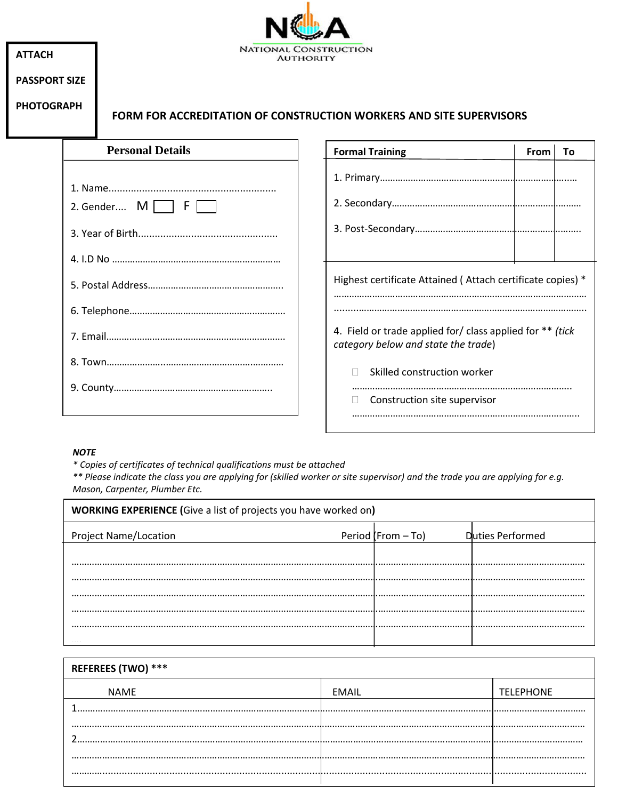| <b>ATTACH</b>        |  | NATIONAL CONSTRUCTION<br><b>AUTHORITY</b>                                  |                                                                                                  |  |  |  |  |  |  |
|----------------------|--|----------------------------------------------------------------------------|--------------------------------------------------------------------------------------------------|--|--|--|--|--|--|
| <b>PASSPORT SIZE</b> |  |                                                                            |                                                                                                  |  |  |  |  |  |  |
| <b>PHOTOGRAPH</b>    |  | <b>FORM FOR ACCREDITATION OF CONSTRUCTION WORKERS AND SITE SUPERVISORS</b> |                                                                                                  |  |  |  |  |  |  |
|                      |  | <b>Personal Details</b>                                                    | <b>Formal Training</b><br>From<br>To                                                             |  |  |  |  |  |  |
|                      |  | 2. Gender $M \Box F$                                                       |                                                                                                  |  |  |  |  |  |  |
|                      |  |                                                                            | Highest certificate Attained (Attach certificate copies) *                                       |  |  |  |  |  |  |
|                      |  |                                                                            | 4. Field or trade applied for/ class applied for ** (tick<br>category below and state the trade) |  |  |  |  |  |  |
|                      |  |                                                                            | Skilled construction worker<br>Construction site supervisor                                      |  |  |  |  |  |  |

٠

## *NOTE*

Г

*\* Copies of certificates of technical qualifications must be attached*

*\*\* Please indicate the class you are applying for (skilled worker or site supervisor) and the trade you are applying for e.g. Mason, Carpenter, Plumber Etc.*

| <b>WORKING EXPERIENCE (Give a list of projects you have worked on)</b> |                      |                  |  |  |  |  |  |  |
|------------------------------------------------------------------------|----------------------|------------------|--|--|--|--|--|--|
| <b>Project Name/Location</b>                                           | Period (From $-$ To) | Duties Performed |  |  |  |  |  |  |
|                                                                        |                      |                  |  |  |  |  |  |  |
|                                                                        |                      |                  |  |  |  |  |  |  |
|                                                                        |                      |                  |  |  |  |  |  |  |
|                                                                        |                      |                  |  |  |  |  |  |  |
|                                                                        |                      |                  |  |  |  |  |  |  |

| <b>REFEREES (TWO) ***</b> |              |                  |  |  |
|---------------------------|--------------|------------------|--|--|
| <b>NAME</b>               | <b>EMAIL</b> | <b>TELEPHONE</b> |  |  |
|                           |              |                  |  |  |
|                           |              |                  |  |  |
|                           |              |                  |  |  |
|                           |              |                  |  |  |
|                           |              |                  |  |  |
| <br>                      |              |                  |  |  |
|                           |              |                  |  |  |